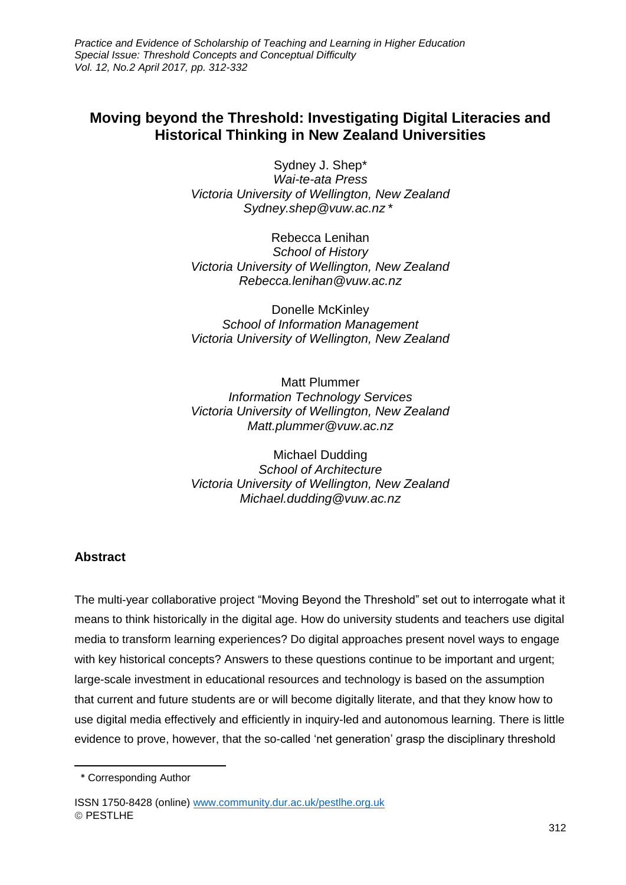*Practice and Evidence of Scholarship of Teaching and Learning in Higher Education Special Issue: Threshold Concepts and Conceptual Difficulty Vol. 12, No.2 April 2017, pp. 312-332*

# **Moving beyond the Threshold: Investigating Digital Literacies and Historical Thinking in New Zealand Universities**

Sydney J. Shep\* *Wai-te-ata Press Victoria University of Wellington, New Zealand Sydney.shep@vuw.ac.nz \* 1*

Rebecca Lenihan *School of History Victoria University of Wellington, New Zealand Rebecca.lenihan@vuw.ac.nz*

Donelle McKinley *School of Information Management Victoria University of Wellington, New Zealand*

Matt Plummer *Information Technology Services Victoria University of Wellington, New Zealand Matt.plummer@vuw.ac.nz*

Michael Dudding *School of Architecture Victoria University of Wellington, New Zealand Michael.dudding@vuw.ac.nz*

### **Abstract**

The multi-year collaborative project "Moving Beyond the Threshold" set out to interrogate what it means to think historically in the digital age. How do university students and teachers use digital media to transform learning experiences? Do digital approaches present novel ways to engage with key historical concepts? Answers to these questions continue to be important and urgent; large-scale investment in educational resources and technology is based on the assumption that current and future students are or will become digitally literate, and that they know how to use digital media effectively and efficiently in inquiry-led and autonomous learning. There is little evidence to prove, however, that the so-called 'net generation' grasp the disciplinary threshold

 $\overline{\phantom{a}}$ 

<sup>1</sup> \* Corresponding Author

ISSN 1750-8428 (online) [www.community.dur.ac.uk/pestlhe.org.uk](http://www.community.dur.ac.uk/pestlhe.org.uk) © PESTLHE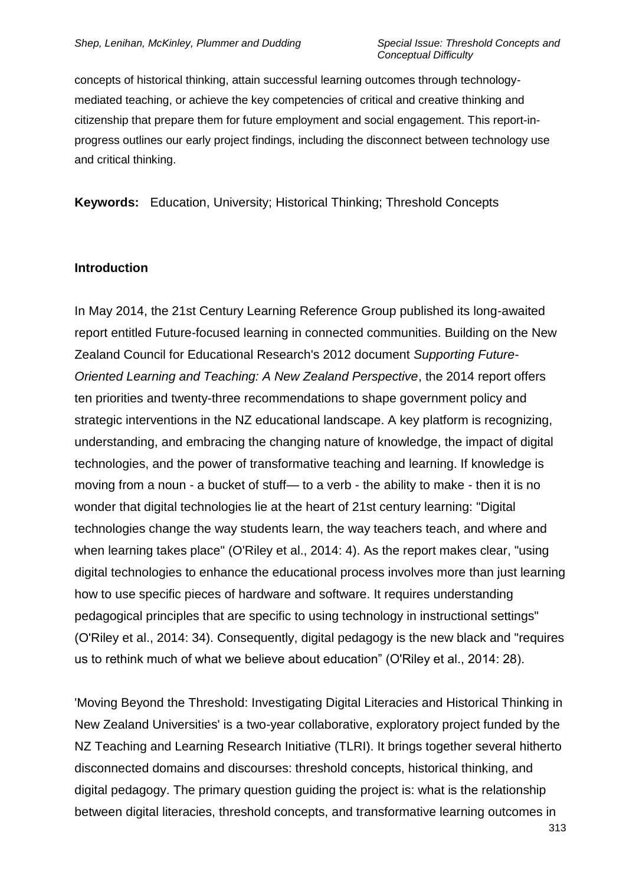concepts of historical thinking, attain successful learning outcomes through technologymediated teaching, or achieve the key competencies of critical and creative thinking and citizenship that prepare them for future employment and social engagement. This report-inprogress outlines our early project findings, including the disconnect between technology use and critical thinking.

**Keywords:** Education, University; Historical Thinking; Threshold Concepts

#### **Introduction**

In May 2014, the 21st Century Learning Reference Group published its long-awaited report entitled Future-focused learning in connected communities. Building on the New Zealand Council for Educational Research's 2012 document *Supporting Future-Oriented Learning and Teaching: A New Zealand Perspective*, the 2014 report offers ten priorities and twenty-three recommendations to shape government policy and strategic interventions in the NZ educational landscape. A key platform is recognizing, understanding, and embracing the changing nature of knowledge, the impact of digital technologies, and the power of transformative teaching and learning. If knowledge is moving from a noun - a bucket of stuff— to a verb - the ability to make - then it is no wonder that digital technologies lie at the heart of 21st century learning: "Digital technologies change the way students learn, the way teachers teach, and where and when learning takes place" (O'Riley et al., 2014: 4). As the report makes clear, "using digital technologies to enhance the educational process involves more than just learning how to use specific pieces of hardware and software. It requires understanding pedagogical principles that are specific to using technology in instructional settings" (O'Riley et al., 2014: 34). Consequently, digital pedagogy is the new black and "requires us to rethink much of what we believe about education" (O'Riley et al., 2014: 28).

'Moving Beyond the Threshold: Investigating Digital Literacies and Historical Thinking in New Zealand Universities' is a two-year collaborative, exploratory project funded by the NZ Teaching and Learning Research Initiative (TLRI). It brings together several hitherto disconnected domains and discourses: threshold concepts, historical thinking, and digital pedagogy. The primary question guiding the project is: what is the relationship between digital literacies, threshold concepts, and transformative learning outcomes in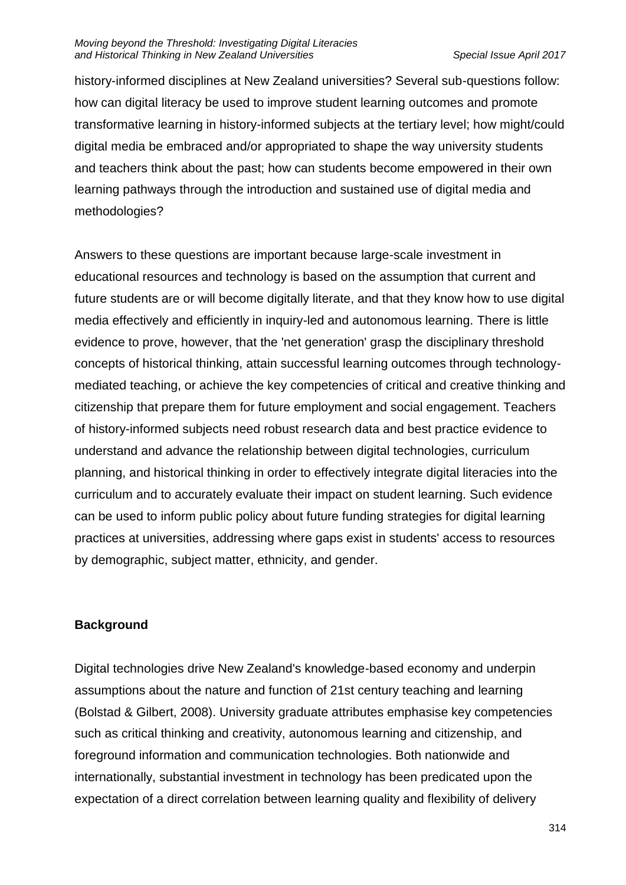history-informed disciplines at New Zealand universities? Several sub-questions follow: how can digital literacy be used to improve student learning outcomes and promote transformative learning in history-informed subjects at the tertiary level; how might/could digital media be embraced and/or appropriated to shape the way university students and teachers think about the past; how can students become empowered in their own learning pathways through the introduction and sustained use of digital media and methodologies?

Answers to these questions are important because large-scale investment in educational resources and technology is based on the assumption that current and future students are or will become digitally literate, and that they know how to use digital media effectively and efficiently in inquiry-led and autonomous learning. There is little evidence to prove, however, that the 'net generation' grasp the disciplinary threshold concepts of historical thinking, attain successful learning outcomes through technologymediated teaching, or achieve the key competencies of critical and creative thinking and citizenship that prepare them for future employment and social engagement. Teachers of history-informed subjects need robust research data and best practice evidence to understand and advance the relationship between digital technologies, curriculum planning, and historical thinking in order to effectively integrate digital literacies into the curriculum and to accurately evaluate their impact on student learning. Such evidence can be used to inform public policy about future funding strategies for digital learning practices at universities, addressing where gaps exist in students' access to resources by demographic, subject matter, ethnicity, and gender.

# **Background**

Digital technologies drive New Zealand's knowledge-based economy and underpin assumptions about the nature and function of 21st century teaching and learning (Bolstad & Gilbert, 2008). University graduate attributes emphasise key competencies such as critical thinking and creativity, autonomous learning and citizenship, and foreground information and communication technologies. Both nationwide and internationally, substantial investment in technology has been predicated upon the expectation of a direct correlation between learning quality and flexibility of delivery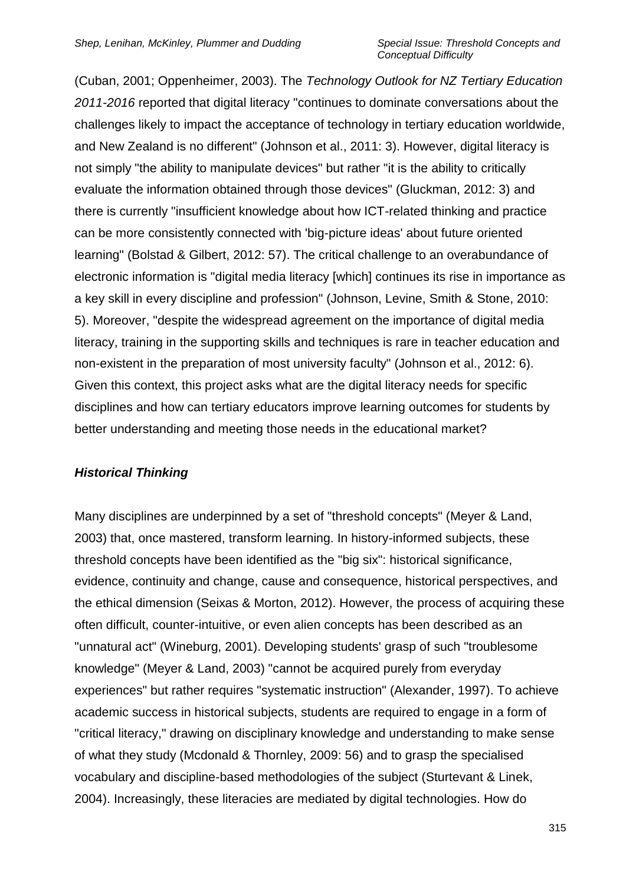(Cuban, 2001; Oppenheimer, 2003). The *Technology Outlook for NZ Tertiary Education 2011-2016* reported that digital literacy "continues to dominate conversations about the challenges likely to impact the acceptance of technology in tertiary education worldwide, and New Zealand is no different" (Johnson et al., 2011: 3). However, digital literacy is not simply "the ability to manipulate devices" but rather "it is the ability to critically evaluate the information obtained through those devices" (Gluckman, 2012: 3) and there is currently "insufficient knowledge about how ICT-related thinking and practice can be more consistently connected with 'big-picture ideas' about future oriented learning" (Bolstad & Gilbert, 2012: 57). The critical challenge to an overabundance of electronic information is "digital media literacy [which] continues its rise in importance as a key skill in every discipline and profession" (Johnson, Levine, Smith & Stone, 2010: 5). Moreover, "despite the widespread agreement on the importance of digital media literacy, training in the supporting skills and techniques is rare in teacher education and non-existent in the preparation of most university faculty" (Johnson et al., 2012: 6). Given this context, this project asks what are the digital literacy needs for specific disciplines and how can tertiary educators improve learning outcomes for students by better understanding and meeting those needs in the educational market?

## *Historical Thinking*

Many disciplines are underpinned by a set of "threshold concepts" (Meyer & Land, 2003) that, once mastered, transform learning. In history-informed subjects, these threshold concepts have been identified as the "big six": historical significance, evidence, continuity and change, cause and consequence, historical perspectives, and the ethical dimension (Seixas & Morton, 2012). However, the process of acquiring these often difficult, counter-intuitive, or even alien concepts has been described as an "unnatural act" (Wineburg, 2001). Developing students' grasp of such "troublesome knowledge" (Meyer & Land, 2003) "cannot be acquired purely from everyday experiences" but rather requires "systematic instruction" (Alexander, 1997). To achieve academic success in historical subjects, students are required to engage in a form of "critical literacy," drawing on disciplinary knowledge and understanding to make sense of what they study (Mcdonald & Thornley, 2009: 56) and to grasp the specialised vocabulary and discipline-based methodologies of the subject (Sturtevant & Linek, 2004). Increasingly, these literacies are mediated by digital technologies. How do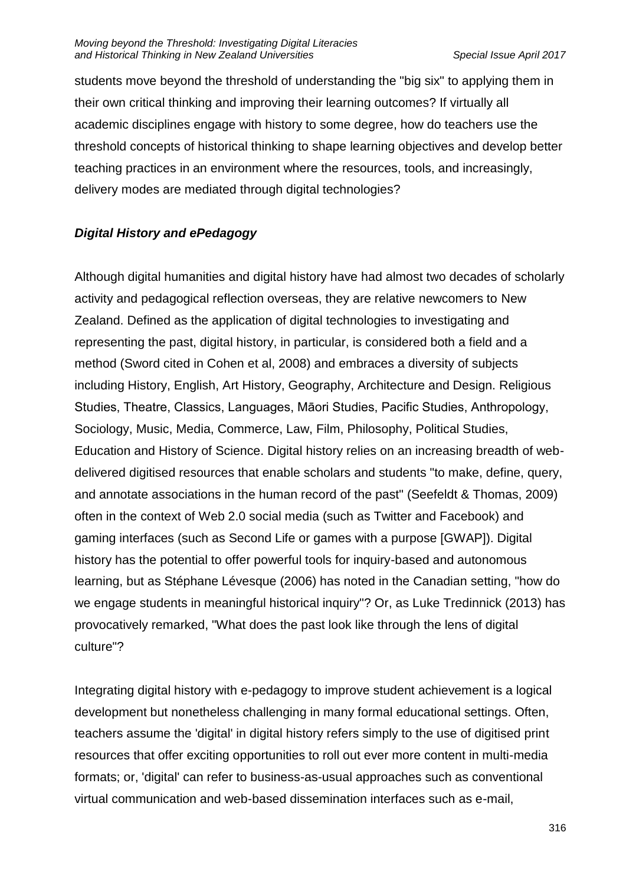students move beyond the threshold of understanding the "big six" to applying them in their own critical thinking and improving their learning outcomes? If virtually all academic disciplines engage with history to some degree, how do teachers use the threshold concepts of historical thinking to shape learning objectives and develop better teaching practices in an environment where the resources, tools, and increasingly, delivery modes are mediated through digital technologies?

# *Digital History and ePedagogy*

Although digital humanities and digital history have had almost two decades of scholarly activity and pedagogical reflection overseas, they are relative newcomers to New Zealand. Defined as the application of digital technologies to investigating and representing the past, digital history, in particular, is considered both a field and a method (Sword cited in Cohen et al, 2008) and embraces a diversity of subjects including History, English, Art History, Geography, Architecture and Design. Religious Studies, Theatre, Classics, Languages, Māori Studies, Pacific Studies, Anthropology, Sociology, Music, Media, Commerce, Law, Film, Philosophy, Political Studies, Education and History of Science. Digital history relies on an increasing breadth of webdelivered digitised resources that enable scholars and students "to make, define, query, and annotate associations in the human record of the past" (Seefeldt & Thomas, 2009) often in the context of Web 2.0 social media (such as Twitter and Facebook) and gaming interfaces (such as Second Life or games with a purpose [GWAP]). Digital history has the potential to offer powerful tools for inquiry-based and autonomous learning, but as Stéphane Lévesque (2006) has noted in the Canadian setting, "how do we engage students in meaningful historical inquiry"? Or, as Luke Tredinnick (2013) has provocatively remarked, "What does the past look like through the lens of digital culture"?

Integrating digital history with e-pedagogy to improve student achievement is a logical development but nonetheless challenging in many formal educational settings. Often, teachers assume the 'digital' in digital history refers simply to the use of digitised print resources that offer exciting opportunities to roll out ever more content in multi-media formats; or, 'digital' can refer to business-as-usual approaches such as conventional virtual communication and web-based dissemination interfaces such as e-mail,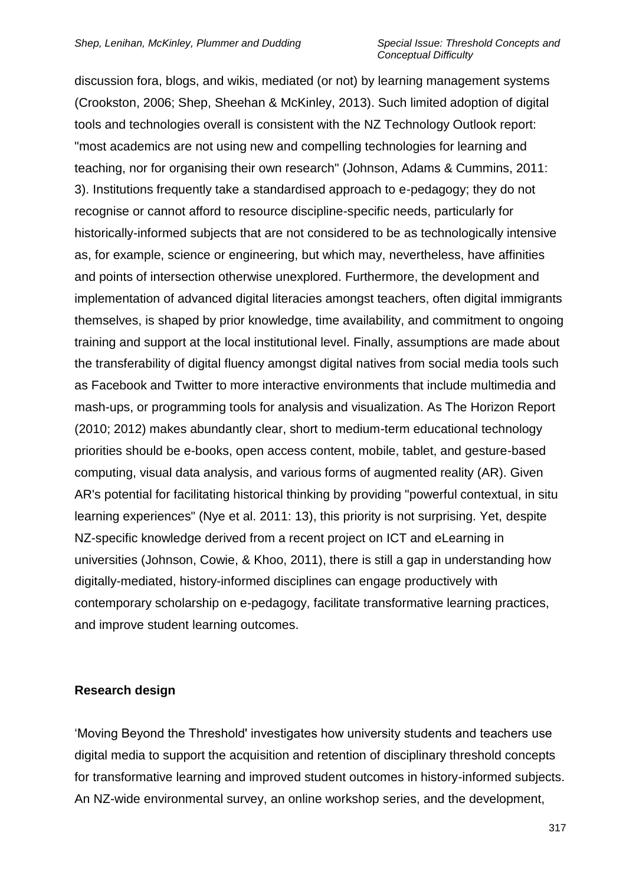discussion fora, blogs, and wikis, mediated (or not) by learning management systems (Crookston, 2006; Shep, Sheehan & McKinley, 2013). Such limited adoption of digital tools and technologies overall is consistent with the NZ Technology Outlook report: "most academics are not using new and compelling technologies for learning and teaching, nor for organising their own research" (Johnson, Adams & Cummins, 2011: 3). Institutions frequently take a standardised approach to e-pedagogy; they do not recognise or cannot afford to resource discipline-specific needs, particularly for historically-informed subjects that are not considered to be as technologically intensive as, for example, science or engineering, but which may, nevertheless, have affinities and points of intersection otherwise unexplored. Furthermore, the development and implementation of advanced digital literacies amongst teachers, often digital immigrants themselves, is shaped by prior knowledge, time availability, and commitment to ongoing training and support at the local institutional level. Finally, assumptions are made about the transferability of digital fluency amongst digital natives from social media tools such as Facebook and Twitter to more interactive environments that include multimedia and mash-ups, or programming tools for analysis and visualization. As The Horizon Report (2010; 2012) makes abundantly clear, short to medium-term educational technology priorities should be e-books, open access content, mobile, tablet, and gesture-based computing, visual data analysis, and various forms of augmented reality (AR). Given AR's potential for facilitating historical thinking by providing "powerful contextual, in situ learning experiences" (Nye et al. 2011: 13), this priority is not surprising. Yet, despite NZ-specific knowledge derived from a recent project on ICT and eLearning in universities (Johnson, Cowie, & Khoo, 2011), there is still a gap in understanding how digitally-mediated, history-informed disciplines can engage productively with contemporary scholarship on e-pedagogy, facilitate transformative learning practices, and improve student learning outcomes.

### **Research design**

'Moving Beyond the Threshold' investigates how university students and teachers use digital media to support the acquisition and retention of disciplinary threshold concepts for transformative learning and improved student outcomes in history-informed subjects. An NZ-wide environmental survey, an online workshop series, and the development,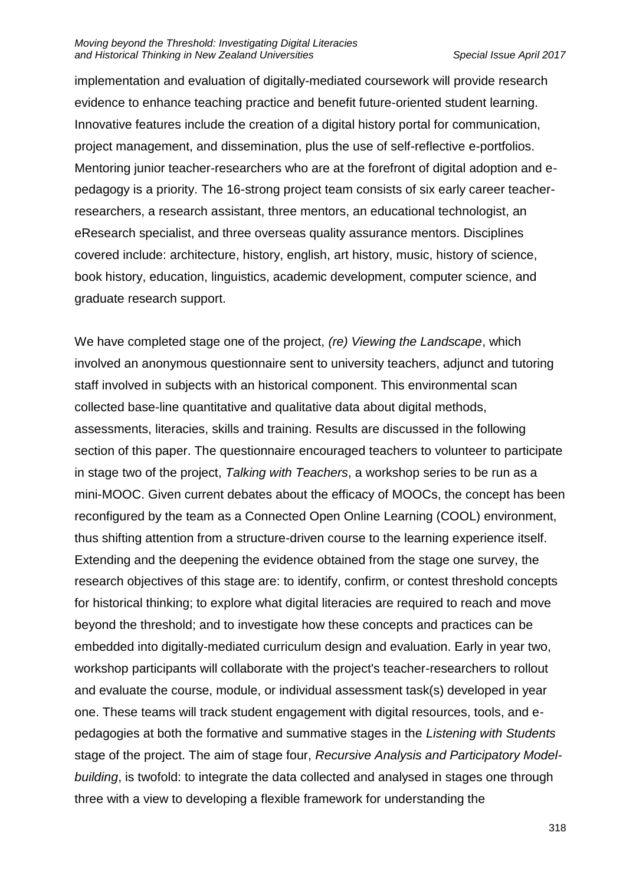#### *Moving beyond the Threshold: Investigating Digital Literacies and Historical Thinking in New Zealand Universities Special Issue April 2017*

implementation and evaluation of digitally-mediated coursework will provide research evidence to enhance teaching practice and benefit future-oriented student learning. Innovative features include the creation of a digital history portal for communication, project management, and dissemination, plus the use of self-reflective e-portfolios. Mentoring junior teacher-researchers who are at the forefront of digital adoption and epedagogy is a priority. The 16-strong project team consists of six early career teacherresearchers, a research assistant, three mentors, an educational technologist, an eResearch specialist, and three overseas quality assurance mentors. Disciplines covered include: architecture, history, english, art history, music, history of science, book history, education, linguistics, academic development, computer science, and graduate research support.

We have completed stage one of the project, *(re) Viewing the Landscape*, which involved an anonymous questionnaire sent to university teachers, adjunct and tutoring staff involved in subjects with an historical component. This environmental scan collected base-line quantitative and qualitative data about digital methods, assessments, literacies, skills and training. Results are discussed in the following section of this paper. The questionnaire encouraged teachers to volunteer to participate in stage two of the project, *Talking with Teachers*, a workshop series to be run as a mini-MOOC. Given current debates about the efficacy of MOOCs, the concept has been reconfigured by the team as a Connected Open Online Learning (COOL) environment, thus shifting attention from a structure-driven course to the learning experience itself. Extending and the deepening the evidence obtained from the stage one survey, the research objectives of this stage are: to identify, confirm, or contest threshold concepts for historical thinking; to explore what digital literacies are required to reach and move beyond the threshold; and to investigate how these concepts and practices can be embedded into digitally-mediated curriculum design and evaluation. Early in year two, workshop participants will collaborate with the project's teacher-researchers to rollout and evaluate the course, module, or individual assessment task(s) developed in year one. These teams will track student engagement with digital resources, tools, and epedagogies at both the formative and summative stages in the *Listening with Students* stage of the project. The aim of stage four, *Recursive Analysis and Participatory Modelbuilding*, is twofold: to integrate the data collected and analysed in stages one through three with a view to developing a flexible framework for understanding the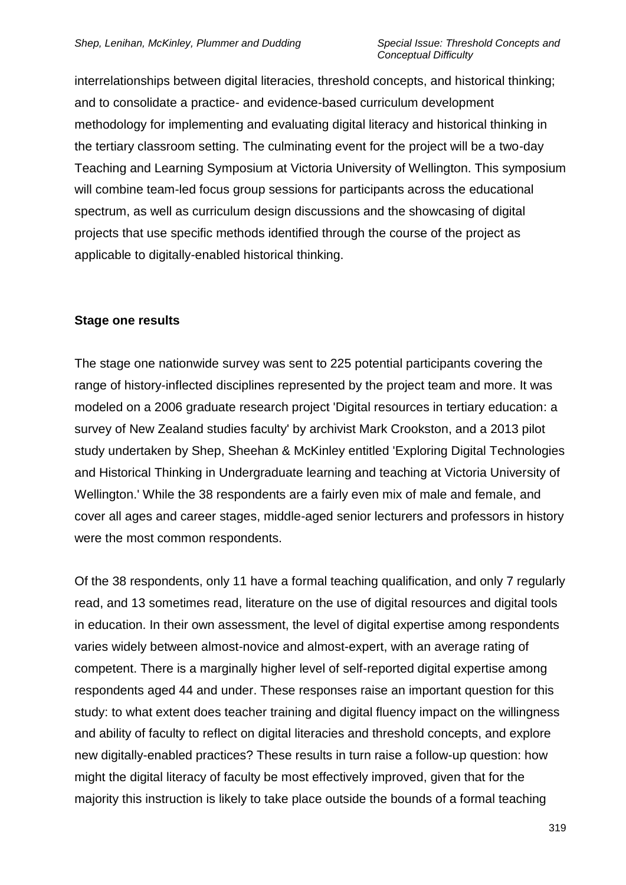interrelationships between digital literacies, threshold concepts, and historical thinking; and to consolidate a practice- and evidence-based curriculum development methodology for implementing and evaluating digital literacy and historical thinking in the tertiary classroom setting. The culminating event for the project will be a two-day Teaching and Learning Symposium at Victoria University of Wellington. This symposium will combine team-led focus group sessions for participants across the educational spectrum, as well as curriculum design discussions and the showcasing of digital projects that use specific methods identified through the course of the project as applicable to digitally-enabled historical thinking.

### **Stage one results**

The stage one nationwide survey was sent to 225 potential participants covering the range of history-inflected disciplines represented by the project team and more. It was modeled on a 2006 graduate research project 'Digital resources in tertiary education: a survey of New Zealand studies faculty' by archivist Mark Crookston, and a 2013 pilot study undertaken by Shep, Sheehan & McKinley entitled 'Exploring Digital Technologies and Historical Thinking in Undergraduate learning and teaching at Victoria University of Wellington.' While the 38 respondents are a fairly even mix of male and female, and cover all ages and career stages, middle-aged senior lecturers and professors in history were the most common respondents.

Of the 38 respondents, only 11 have a formal teaching qualification, and only 7 regularly read, and 13 sometimes read, literature on the use of digital resources and digital tools in education. In their own assessment, the level of digital expertise among respondents varies widely between almost-novice and almost-expert, with an average rating of competent. There is a marginally higher level of self-reported digital expertise among respondents aged 44 and under. These responses raise an important question for this study: to what extent does teacher training and digital fluency impact on the willingness and ability of faculty to reflect on digital literacies and threshold concepts, and explore new digitally-enabled practices? These results in turn raise a follow-up question: how might the digital literacy of faculty be most effectively improved, given that for the majority this instruction is likely to take place outside the bounds of a formal teaching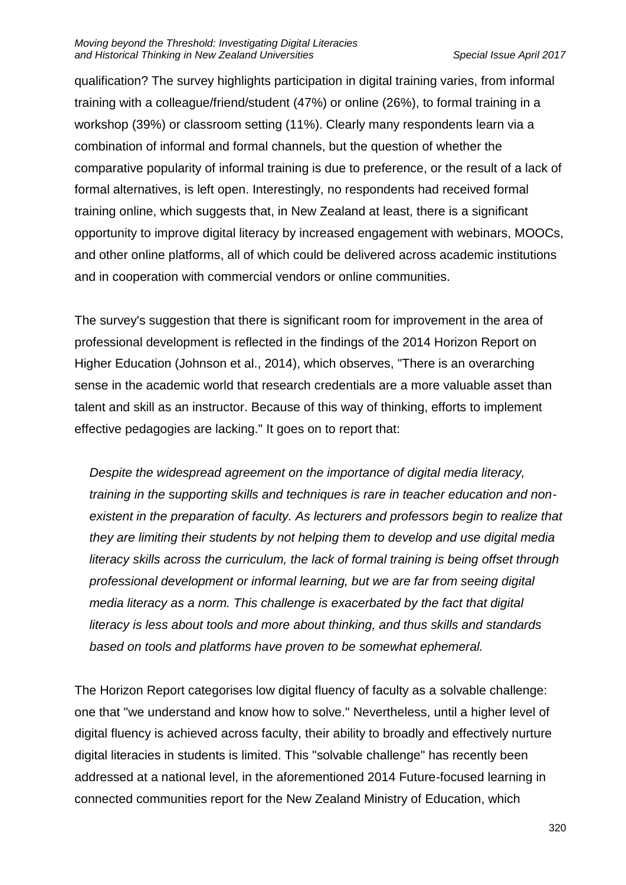qualification? The survey highlights participation in digital training varies, from informal training with a colleague/friend/student (47%) or online (26%), to formal training in a workshop (39%) or classroom setting (11%). Clearly many respondents learn via a combination of informal and formal channels, but the question of whether the comparative popularity of informal training is due to preference, or the result of a lack of formal alternatives, is left open. Interestingly, no respondents had received formal training online, which suggests that, in New Zealand at least, there is a significant opportunity to improve digital literacy by increased engagement with webinars, MOOCs, and other online platforms, all of which could be delivered across academic institutions and in cooperation with commercial vendors or online communities.

The survey's suggestion that there is significant room for improvement in the area of professional development is reflected in the findings of the 2014 Horizon Report on Higher Education (Johnson et al., 2014), which observes, "There is an overarching sense in the academic world that research credentials are a more valuable asset than talent and skill as an instructor. Because of this way of thinking, efforts to implement effective pedagogies are lacking." It goes on to report that:

*Despite the widespread agreement on the importance of digital media literacy, training in the supporting skills and techniques is rare in teacher education and nonexistent in the preparation of faculty. As lecturers and professors begin to realize that they are limiting their students by not helping them to develop and use digital media literacy skills across the curriculum, the lack of formal training is being offset through professional development or informal learning, but we are far from seeing digital media literacy as a norm. This challenge is exacerbated by the fact that digital literacy is less about tools and more about thinking, and thus skills and standards based on tools and platforms have proven to be somewhat ephemeral.*

The Horizon Report categorises low digital fluency of faculty as a solvable challenge: one that "we understand and know how to solve." Nevertheless, until a higher level of digital fluency is achieved across faculty, their ability to broadly and effectively nurture digital literacies in students is limited. This "solvable challenge" has recently been addressed at a national level, in the aforementioned 2014 Future-focused learning in connected communities report for the New Zealand Ministry of Education, which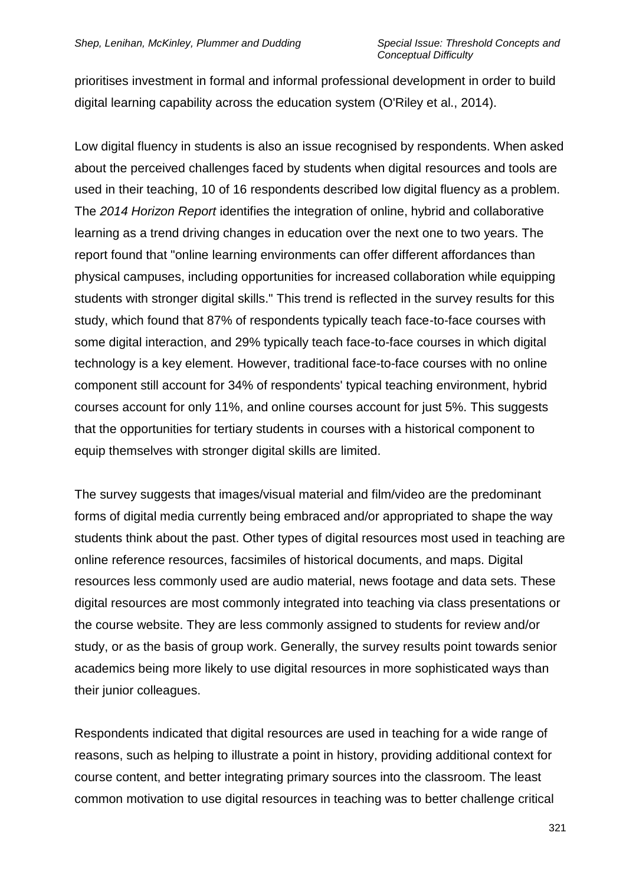prioritises investment in formal and informal professional development in order to build digital learning capability across the education system (O'Riley et al., 2014).

Low digital fluency in students is also an issue recognised by respondents. When asked about the perceived challenges faced by students when digital resources and tools are used in their teaching, 10 of 16 respondents described low digital fluency as a problem. The *2014 Horizon Report* identifies the integration of online, hybrid and collaborative learning as a trend driving changes in education over the next one to two years. The report found that "online learning environments can offer different affordances than physical campuses, including opportunities for increased collaboration while equipping students with stronger digital skills." This trend is reflected in the survey results for this study, which found that 87% of respondents typically teach face-to-face courses with some digital interaction, and 29% typically teach face-to-face courses in which digital technology is a key element. However, traditional face-to-face courses with no online component still account for 34% of respondents' typical teaching environment, hybrid courses account for only 11%, and online courses account for just 5%. This suggests that the opportunities for tertiary students in courses with a historical component to equip themselves with stronger digital skills are limited.

The survey suggests that images/visual material and film/video are the predominant forms of digital media currently being embraced and/or appropriated to shape the way students think about the past. Other types of digital resources most used in teaching are online reference resources, facsimiles of historical documents, and maps. Digital resources less commonly used are audio material, news footage and data sets. These digital resources are most commonly integrated into teaching via class presentations or the course website. They are less commonly assigned to students for review and/or study, or as the basis of group work. Generally, the survey results point towards senior academics being more likely to use digital resources in more sophisticated ways than their junior colleagues.

Respondents indicated that digital resources are used in teaching for a wide range of reasons, such as helping to illustrate a point in history, providing additional context for course content, and better integrating primary sources into the classroom. The least common motivation to use digital resources in teaching was to better challenge critical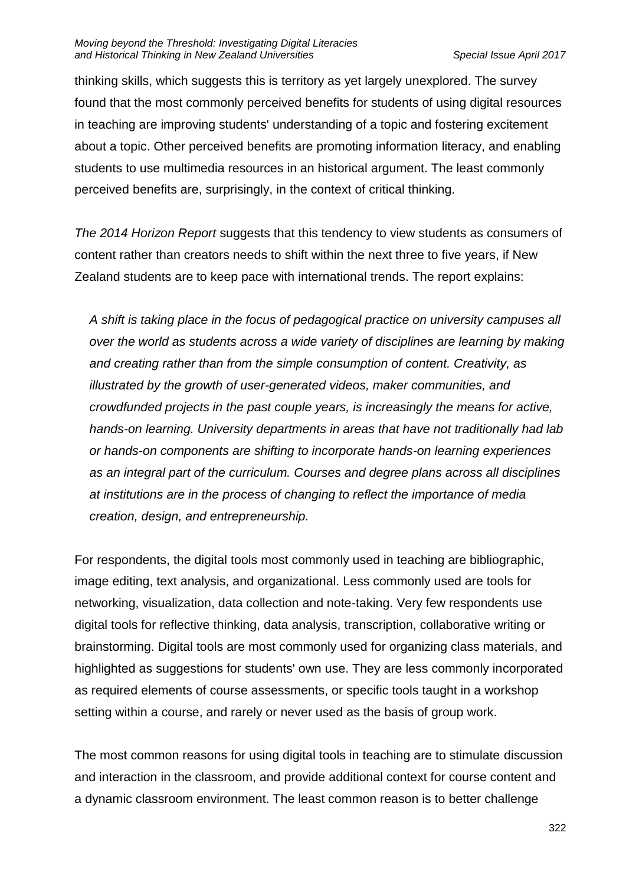thinking skills, which suggests this is territory as yet largely unexplored. The survey found that the most commonly perceived benefits for students of using digital resources in teaching are improving students' understanding of a topic and fostering excitement about a topic. Other perceived benefits are promoting information literacy, and enabling students to use multimedia resources in an historical argument. The least commonly perceived benefits are, surprisingly, in the context of critical thinking.

*The 2014 Horizon Report* suggests that this tendency to view students as consumers of content rather than creators needs to shift within the next three to five years, if New Zealand students are to keep pace with international trends. The report explains:

*A shift is taking place in the focus of pedagogical practice on university campuses all over the world as students across a wide variety of disciplines are learning by making and creating rather than from the simple consumption of content. Creativity, as illustrated by the growth of user-generated videos, maker communities, and crowdfunded projects in the past couple years, is increasingly the means for active, hands-on learning. University departments in areas that have not traditionally had lab or hands-on components are shifting to incorporate hands-on learning experiences as an integral part of the curriculum. Courses and degree plans across all disciplines at institutions are in the process of changing to reflect the importance of media creation, design, and entrepreneurship.*

For respondents, the digital tools most commonly used in teaching are bibliographic, image editing, text analysis, and organizational. Less commonly used are tools for networking, visualization, data collection and note-taking. Very few respondents use digital tools for reflective thinking, data analysis, transcription, collaborative writing or brainstorming. Digital tools are most commonly used for organizing class materials, and highlighted as suggestions for students' own use. They are less commonly incorporated as required elements of course assessments, or specific tools taught in a workshop setting within a course, and rarely or never used as the basis of group work.

The most common reasons for using digital tools in teaching are to stimulate discussion and interaction in the classroom, and provide additional context for course content and a dynamic classroom environment. The least common reason is to better challenge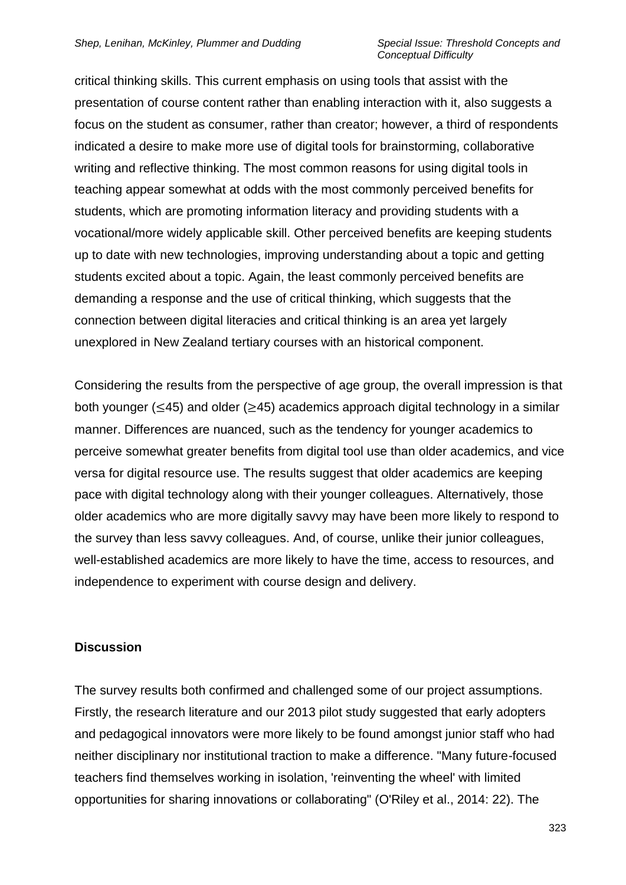critical thinking skills. This current emphasis on using tools that assist with the presentation of course content rather than enabling interaction with it, also suggests a focus on the student as consumer, rather than creator; however, a third of respondents indicated a desire to make more use of digital tools for brainstorming, collaborative writing and reflective thinking. The most common reasons for using digital tools in teaching appear somewhat at odds with the most commonly perceived benefits for students, which are promoting information literacy and providing students with a vocational/more widely applicable skill. Other perceived benefits are keeping students up to date with new technologies, improving understanding about a topic and getting students excited about a topic. Again, the least commonly perceived benefits are demanding a response and the use of critical thinking, which suggests that the connection between digital literacies and critical thinking is an area yet largely unexplored in New Zealand tertiary courses with an historical component.

Considering the results from the perspective of age group, the overall impression is that both younger ( $\leq$ 45) and older ( $\geq$ 45) academics approach digital technology in a similar manner. Differences are nuanced, such as the tendency for younger academics to perceive somewhat greater benefits from digital tool use than older academics, and vice versa for digital resource use. The results suggest that older academics are keeping pace with digital technology along with their younger colleagues. Alternatively, those older academics who are more digitally savvy may have been more likely to respond to the survey than less savvy colleagues. And, of course, unlike their junior colleagues, well-established academics are more likely to have the time, access to resources, and independence to experiment with course design and delivery.

### **Discussion**

The survey results both confirmed and challenged some of our project assumptions. Firstly, the research literature and our 2013 pilot study suggested that early adopters and pedagogical innovators were more likely to be found amongst junior staff who had neither disciplinary nor institutional traction to make a difference. "Many future-focused teachers find themselves working in isolation, 'reinventing the wheel' with limited opportunities for sharing innovations or collaborating" (O'Riley et al., 2014: 22). The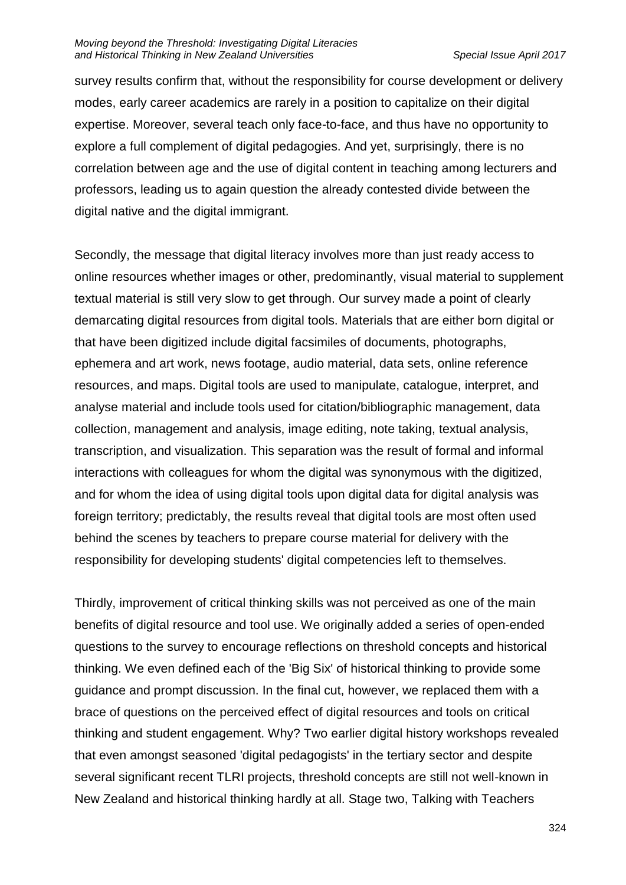survey results confirm that, without the responsibility for course development or delivery modes, early career academics are rarely in a position to capitalize on their digital expertise. Moreover, several teach only face-to-face, and thus have no opportunity to explore a full complement of digital pedagogies. And yet, surprisingly, there is no correlation between age and the use of digital content in teaching among lecturers and professors, leading us to again question the already contested divide between the digital native and the digital immigrant.

Secondly, the message that digital literacy involves more than just ready access to online resources whether images or other, predominantly, visual material to supplement textual material is still very slow to get through. Our survey made a point of clearly demarcating digital resources from digital tools. Materials that are either born digital or that have been digitized include digital facsimiles of documents, photographs, ephemera and art work, news footage, audio material, data sets, online reference resources, and maps. Digital tools are used to manipulate, catalogue, interpret, and analyse material and include tools used for citation/bibliographic management, data collection, management and analysis, image editing, note taking, textual analysis, transcription, and visualization. This separation was the result of formal and informal interactions with colleagues for whom the digital was synonymous with the digitized, and for whom the idea of using digital tools upon digital data for digital analysis was foreign territory; predictably, the results reveal that digital tools are most often used behind the scenes by teachers to prepare course material for delivery with the responsibility for developing students' digital competencies left to themselves.

Thirdly, improvement of critical thinking skills was not perceived as one of the main benefits of digital resource and tool use. We originally added a series of open-ended questions to the survey to encourage reflections on threshold concepts and historical thinking. We even defined each of the 'Big Six' of historical thinking to provide some guidance and prompt discussion. In the final cut, however, we replaced them with a brace of questions on the perceived effect of digital resources and tools on critical thinking and student engagement. Why? Two earlier digital history workshops revealed that even amongst seasoned 'digital pedagogists' in the tertiary sector and despite several significant recent TLRI projects, threshold concepts are still not well-known in New Zealand and historical thinking hardly at all. Stage two, Talking with Teachers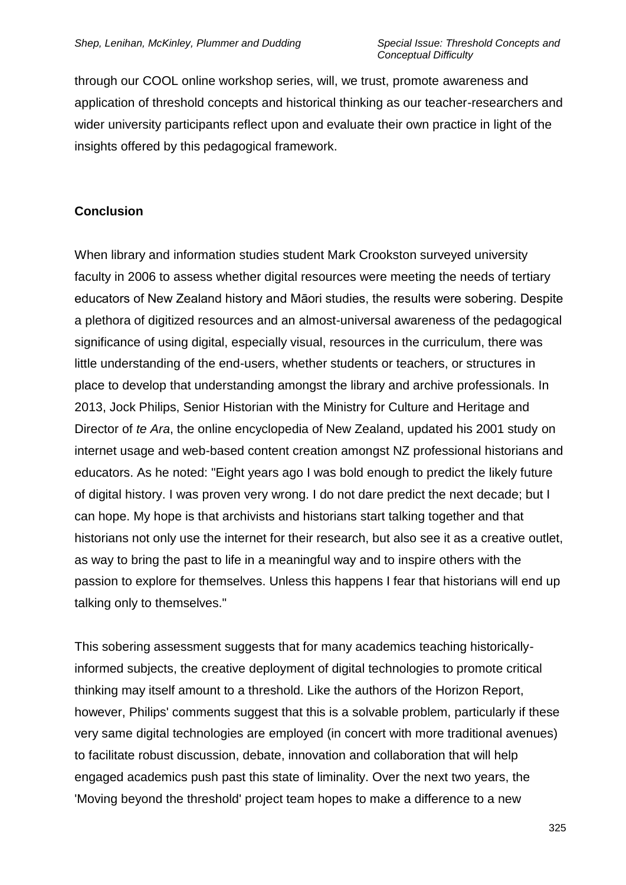through our COOL online workshop series, will, we trust, promote awareness and application of threshold concepts and historical thinking as our teacher-researchers and wider university participants reflect upon and evaluate their own practice in light of the insights offered by this pedagogical framework.

## **Conclusion**

When library and information studies student Mark Crookston surveyed university faculty in 2006 to assess whether digital resources were meeting the needs of tertiary educators of New Zealand history and Māori studies, the results were sobering. Despite a plethora of digitized resources and an almost-universal awareness of the pedagogical significance of using digital, especially visual, resources in the curriculum, there was little understanding of the end-users, whether students or teachers, or structures in place to develop that understanding amongst the library and archive professionals. In 2013, Jock Philips, Senior Historian with the Ministry for Culture and Heritage and Director of *te Ara*, the online encyclopedia of New Zealand, updated his 2001 study on internet usage and web-based content creation amongst NZ professional historians and educators. As he noted: "Eight years ago I was bold enough to predict the likely future of digital history. I was proven very wrong. I do not dare predict the next decade; but I can hope. My hope is that archivists and historians start talking together and that historians not only use the internet for their research, but also see it as a creative outlet, as way to bring the past to life in a meaningful way and to inspire others with the passion to explore for themselves. Unless this happens I fear that historians will end up talking only to themselves."

This sobering assessment suggests that for many academics teaching historicallyinformed subjects, the creative deployment of digital technologies to promote critical thinking may itself amount to a threshold. Like the authors of the Horizon Report, however, Philips' comments suggest that this is a solvable problem, particularly if these very same digital technologies are employed (in concert with more traditional avenues) to facilitate robust discussion, debate, innovation and collaboration that will help engaged academics push past this state of liminality. Over the next two years, the 'Moving beyond the threshold' project team hopes to make a difference to a new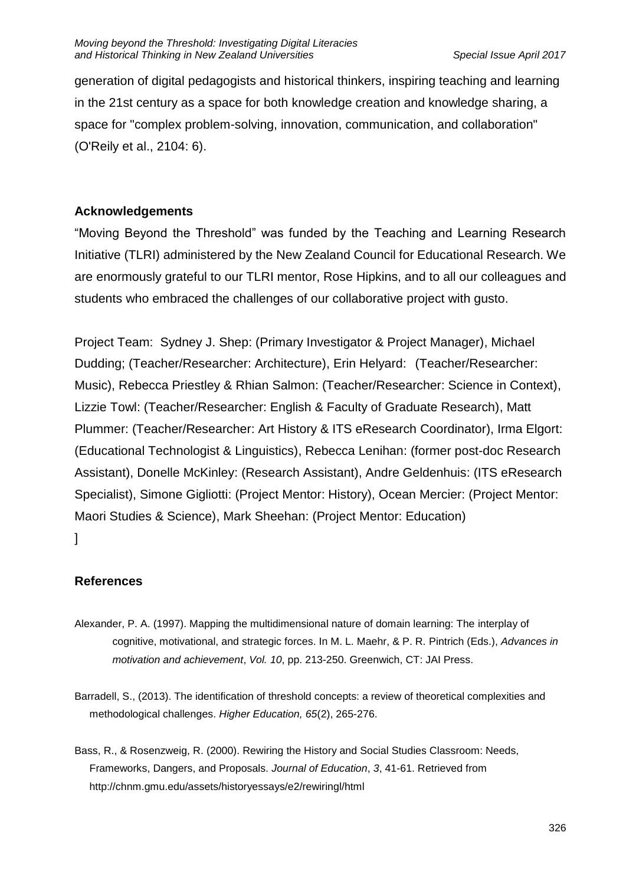generation of digital pedagogists and historical thinkers, inspiring teaching and learning in the 21st century as a space for both knowledge creation and knowledge sharing, a space for "complex problem-solving, innovation, communication, and collaboration" (O'Reily et al., 2104: 6).

## **Acknowledgements**

"Moving Beyond the Threshold" was funded by the Teaching and Learning Research Initiative (TLRI) administered by the New Zealand Council for Educational Research. We are enormously grateful to our TLRI mentor, Rose Hipkins, and to all our colleagues and students who embraced the challenges of our collaborative project with gusto.

Project Team: Sydney J. Shep: (Primary Investigator & Project Manager), Michael Dudding; (Teacher/Researcher: Architecture), Erin Helyard: (Teacher/Researcher: Music), Rebecca Priestley & Rhian Salmon: (Teacher/Researcher: Science in Context), Lizzie Towl: (Teacher/Researcher: English & Faculty of Graduate Research), Matt Plummer: (Teacher/Researcher: Art History & ITS eResearch Coordinator), Irma Elgort: (Educational Technologist & Linguistics), Rebecca Lenihan: (former post-doc Research Assistant), Donelle McKinley: (Research Assistant), Andre Geldenhuis: (ITS eResearch Specialist), Simone Gigliotti: (Project Mentor: History), Ocean Mercier: (Project Mentor: Maori Studies & Science), Mark Sheehan: (Project Mentor: Education) ]

## **References**

- Alexander, P. A. (1997). Mapping the multidimensional nature of domain learning: The interplay of cognitive, motivational, and strategic forces. In M. L. Maehr, & P. R. Pintrich (Eds.), *Advances in motivation and achievement*, *Vol. 10*, pp. 213-250. Greenwich, CT: JAI Press.
- Barradell, S., (2013). The identification of threshold concepts: a review of theoretical complexities and methodological challenges. *Higher Education, 65*(2), 265-276.
- Bass, R., & Rosenzweig, R. (2000). Rewiring the History and Social Studies Classroom: Needs, Frameworks, Dangers, and Proposals. *Journal of Education*, *3*, 41-61. Retrieved from http://chnm.gmu.edu/assets/historyessays/e2/rewiringl/html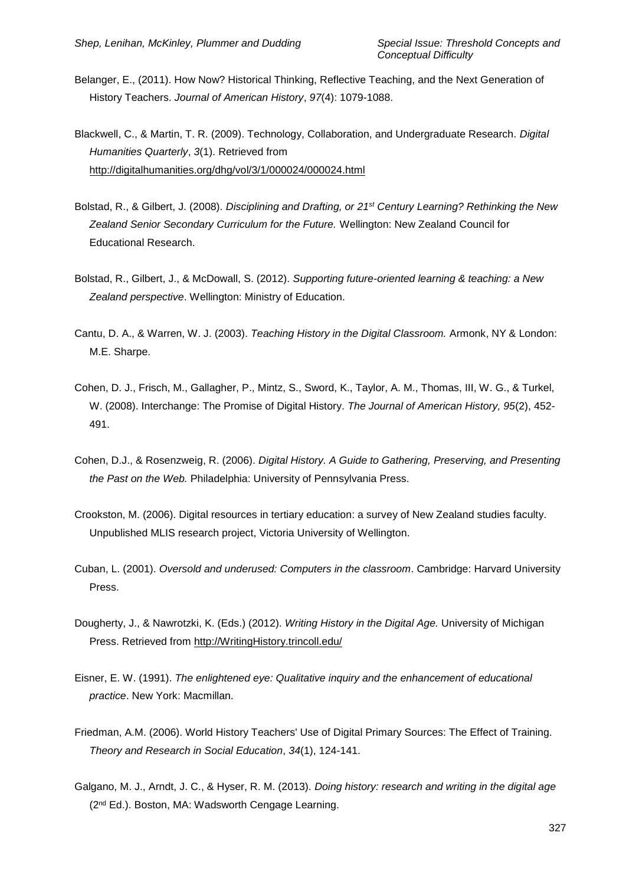- Belanger, E., (2011). How Now? Historical Thinking, Reflective Teaching, and the Next Generation of History Teachers. *Journal of American History*, *97*(4): 1079-1088.
- Blackwell, C., & Martin, T. R. (2009). Technology, Collaboration, and Undergraduate Research. *Digital Humanities Quarterly*, *3*(1). Retrieved from http://digitalhumanities.org/dhg/vol/3/1/000024/000024.html
- Bolstad, R., & Gilbert, J. (2008). *Disciplining and Drafting, or 21st Century Learning? Rethinking the New Zealand Senior Secondary Curriculum for the Future.* Wellington: New Zealand Council for Educational Research.
- Bolstad, R., Gilbert, J., & McDowall, S. (2012). *Supporting future-oriented learning & teaching: a New Zealand perspective*. Wellington: Ministry of Education.
- Cantu, D. A., & Warren, W. J. (2003). *Teaching History in the Digital Classroom.* Armonk, NY & London: M.E. Sharpe.
- Cohen, D. J., Frisch, M., Gallagher, P., Mintz, S., Sword, K., Taylor, A. M., Thomas, III, W. G., & Turkel, W. (2008). Interchange: The Promise of Digital History. *The Journal of American History, 95*(2), 452- 491.
- Cohen, D.J., & Rosenzweig, R. (2006). *Digital History. A Guide to Gathering, Preserving, and Presenting the Past on the Web.* Philadelphia: University of Pennsylvania Press.
- Crookston, M. (2006). Digital resources in tertiary education: a survey of New Zealand studies faculty. Unpublished MLIS research project, Victoria University of Wellington.
- Cuban, L. (2001). *Oversold and underused: Computers in the classroom*. Cambridge: Harvard University Press.
- Dougherty, J., & Nawrotzki, K. (Eds.) (2012). *Writing History in the Digital Age.* University of Michigan Press. Retrieved from http://WritingHistory.trincoll.edu/
- Eisner, E. W. (1991). *The enlightened eye: Qualitative inquiry and the enhancement of educational practice*. New York: Macmillan.
- Friedman, A.M. (2006). World History Teachers' Use of Digital Primary Sources: The Effect of Training. *Theory and Research in Social Education*, *34*(1), 124-141.
- Galgano, M. J., Arndt, J. C., & Hyser, R. M. (2013). *Doing history: research and writing in the digital age*  (2<sup>nd</sup> Ed.). Boston, MA: Wadsworth Cengage Learning.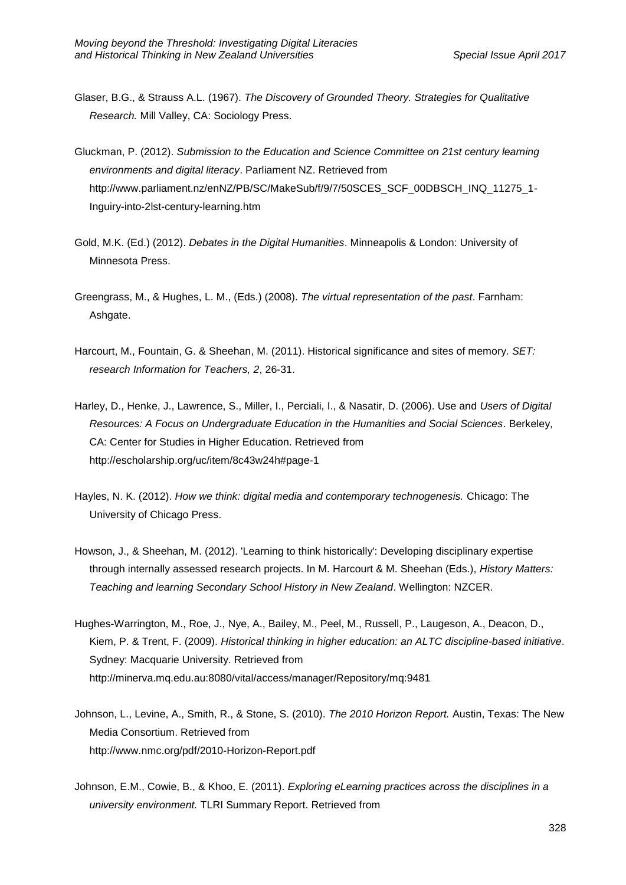- Glaser, B.G., & Strauss A.L. (1967). *The Discovery of Grounded Theory. Strategies for Qualitative Research.* Mill Valley, CA: Sociology Press.
- Gluckman, P. (2012). *Submission to the Education and Science Committee on 21st century learning environments and digital literacy*. Parliament NZ. Retrieved from http://www.parliament.nz/enNZ/PB/SC/MakeSub/f/9/7/50SCES\_SCF\_00DBSCH\_INQ\_11275\_1- Inguiry-into-2lst-century-learning.htm
- Gold, M.K. (Ed.) (2012). *Debates in the Digital Humanities*. Minneapolis & London: University of Minnesota Press.
- Greengrass, M., & Hughes, L. M., (Eds.) (2008). *The virtual representation of the past*. Farnham: Ashgate.
- Harcourt, M., Fountain, G. & Sheehan, M. (2011). Historical significance and sites of memory. *SET: research Information for Teachers, 2*, 26-31.
- Harley, D., Henke, J., Lawrence, S., Miller, I., Perciali, I., & Nasatir, D. (2006). Use and *Users of Digital Resources: A Focus on Undergraduate Education in the Humanities and Social Sciences*. Berkeley, CA: Center for Studies in Higher Education. Retrieved from http://escholarship.org/uc/item/8c43w24h#page-1
- Hayles, N. K. (2012). *How we think: digital media and contemporary technogenesis.* Chicago: The University of Chicago Press.
- Howson, J., & Sheehan, M. (2012). 'Learning to think historically': Developing disciplinary expertise through internally assessed research projects. In M. Harcourt & M. Sheehan (Eds.), *History Matters: Teaching and learning Secondary School History in New Zealand*. Wellington: NZCER.
- Hughes-Warrington, M., Roe, J., Nye, A., Bailey, M., Peel, M., Russell, P., Laugeson, A., Deacon, D., Kiem, P. & Trent, F. (2009). *Historical thinking in higher education: an ALTC discipline-based initiative*. Sydney: Macquarie University. Retrieved from http://minerva.mq.edu.au:8080/vital/access/manager/Repository/mq:9481
- Johnson, L., Levine, A., Smith, R., & Stone, S. (2010). *The 2010 Horizon Report.* Austin, Texas: The New Media Consortium. Retrieved from http://www.nmc.org/pdf/2010-Horizon-Report.pdf
- Johnson, E.M., Cowie, B., & Khoo, E. (2011). *Exploring eLearning practices across the disciplines in a university environment.* TLRI Summary Report. Retrieved from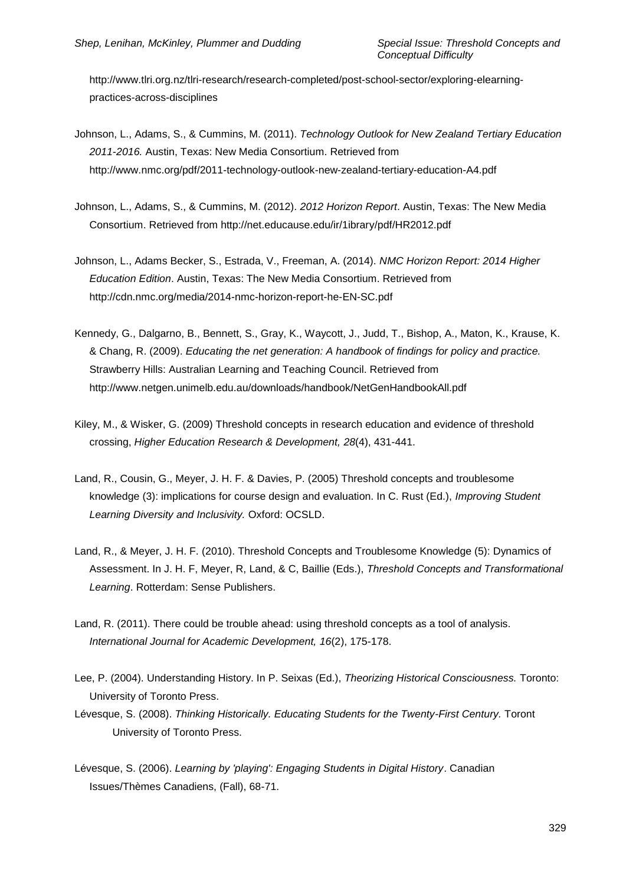http://www.tlri.org.nz/tlri-research/research-completed/post-school-sector/exploring-elearningpractices-across-disciplines

- Johnson, L., Adams, S., & Cummins, M. (2011). *Technology Outlook for New Zealand Tertiary Education 2011-2016.* Austin, Texas: New Media Consortium. Retrieved from http://www.nmc.org/pdf/2011-technology-outlook-new-zealand-tertiary-education-A4.pdf
- Johnson, L., Adams, S., & Cummins, M. (2012). *2012 Horizon Report*. Austin, Texas: The New Media Consortium. Retrieved from http://net.educause.edu/ir/1ibrary/pdf/HR2012.pdf
- Johnson, L., Adams Becker, S., Estrada, V., Freeman, A. (2014). *NMC Horizon Report: 2014 Higher Education Edition*. Austin, Texas: The New Media Consortium. Retrieved from http://cdn.nmc.org/media/2014-nmc-horizon-report-he-EN-SC.pdf
- Kennedy, G., Dalgarno, B., Bennett, S., Gray, K., Waycott, J., Judd, T., Bishop, A., Maton, K., Krause, K. & Chang, R. (2009). *Educating the net generation: A handbook of findings for policy and practice.* Strawberry Hills: Australian Learning and Teaching Council. Retrieved from http://www.netgen.unimelb.edu.au/downloads/handbook/NetGenHandbookAll.pdf
- Kiley, M., & Wisker, G. (2009) Threshold concepts in research education and evidence of threshold crossing, *Higher Education Research & Development, 28*(4), 431-441.
- Land, R., Cousin, G., Meyer, J. H. F. & Davies, P. (2005) Threshold concepts and troublesome knowledge (3): implications for course design and evaluation. In C. Rust (Ed.), *Improving Student Learning Diversity and Inclusivity.* Oxford: OCSLD.
- Land, R., & Meyer, J. H. F. (2010). Threshold Concepts and Troublesome Knowledge (5): Dynamics of Assessment. In J. H. F, Meyer, R, Land, & C, Baillie (Eds.), *Threshold Concepts and Transformational Learning*. Rotterdam: Sense Publishers.
- Land, R. (2011). There could be trouble ahead: using threshold concepts as a tool of analysis. *International Journal for Academic Development, 16*(2), 175-178.
- Lee, P. (2004). Understanding History. In P. Seixas (Ed.), *Theorizing Historical Consciousness.* Toronto: University of Toronto Press.
- Lévesque, S. (2008). *Thinking Historically. Educating Students for the Twenty-First Century.* Toront University of Toronto Press.
- Lévesque, S. (2006). *Learning by 'playing': Engaging Students in Digital History*. Canadian Issues/Thèmes Canadiens, (Fall), 68-71.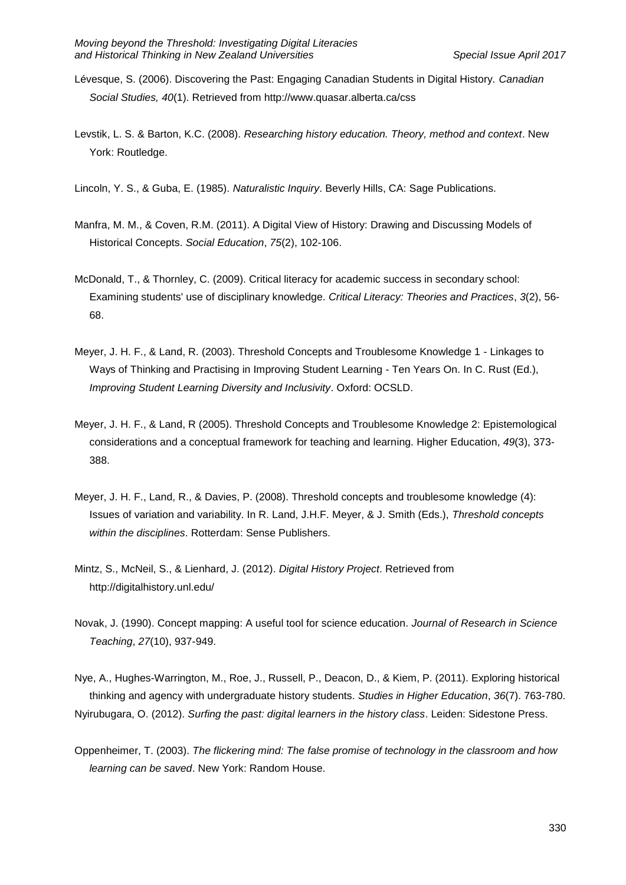- Lévesque, S. (2006). Discovering the Past: Engaging Canadian Students in Digital History. *Canadian Social Studies, 40*(1). Retrieved from http://www.quasar.alberta.ca/css
- Levstik, L. S. & Barton, K.C. (2008). *Researching history education. Theory, method and context*. New York: Routledge.
- Lincoln, Y. S., & Guba, E. (1985). *Naturalistic Inquiry*. Beverly Hills, CA: Sage Publications.
- Manfra, M. M., & Coven, R.M. (2011). A Digital View of History: Drawing and Discussing Models of Historical Concepts. *Social Education*, *75*(2), 102-106.
- McDonald, T., & Thornley, C. (2009). Critical literacy for academic success in secondary school: Examining students' use of disciplinary knowledge. *Critical Literacy: Theories and Practices*, *3*(2), 56- 68.
- Meyer, J. H. F., & Land, R. (2003). Threshold Concepts and Troublesome Knowledge 1 Linkages to Ways of Thinking and Practising in Improving Student Learning - Ten Years On. In C. Rust (Ed.), *Improving Student Learning Diversity and Inclusivity*. Oxford: OCSLD.
- Meyer, J. H. F., & Land, R (2005). Threshold Concepts and Troublesome Knowledge 2: Epistemological considerations and a conceptual framework for teaching and learning. Higher Education, *49*(3), 373- 388.
- Meyer, J. H. F., Land, R., & Davies, P. (2008). Threshold concepts and troublesome knowledge (4): Issues of variation and variability. In R. Land, J.H.F. Meyer, & J. Smith (Eds.), *Threshold concepts within the disciplines*. Rotterdam: Sense Publishers.
- Mintz, S., McNeil, S., & Lienhard, J. (2012). *Digital History Project*. Retrieved from http://digitalhistory.unl.edu/
- Novak, J. (1990). Concept mapping: A useful tool for science education. *Journal of Research in Science Teaching*, *27*(10), 937-949.

Nye, A., Hughes-Warrington, M., Roe, J., Russell, P., Deacon, D., & Kiem, P. (2011). Exploring historical thinking and agency with undergraduate history students. *Studies in Higher Education*, *36*(7). 763-780. Nyirubugara, O. (2012). *Surfing the past: digital learners in the history class*. Leiden: Sidestone Press.

Oppenheimer, T. (2003). *The flickering mind: The false promise of technology in the classroom and how learning can be saved*. New York: Random House.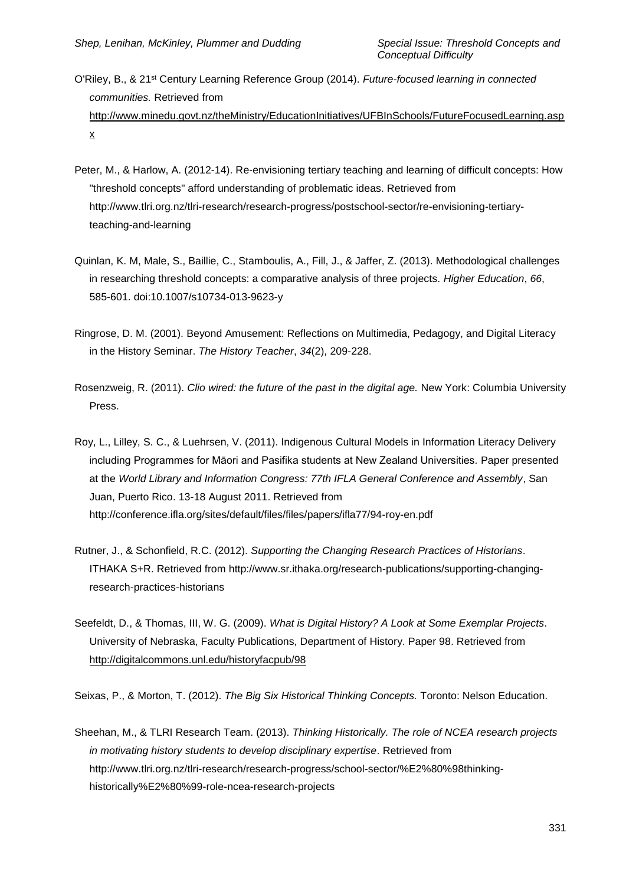- O'Riley, B., & 21st Century Learning Reference Group (2014). *Future-focused learning in connected communities.* Retrieved from http://www.minedu.govt.nz/theMinistry/EducationInitiatives/UFBInSchools/FutureFocusedLearning.asp x
- Peter, M., & Harlow, A. (2012-14). Re-envisioning tertiary teaching and learning of difficult concepts: How "threshold concepts" afford understanding of problematic ideas. Retrieved from http://www.tlri.org.nz/tlri-research/research-progress/postschool-sector/re-envisioning-tertiaryteaching-and-learning
- Quinlan, K. M, Male, S., Baillie, C., Stamboulis, A., Fill, J., & Jaffer, Z. (2013). Methodological challenges in researching threshold concepts: a comparative analysis of three projects. *Higher Education*, *66*, 585-601. doi:10.1007/s10734-013-9623-y
- Ringrose, D. M. (2001). Beyond Amusement: Reflections on Multimedia, Pedagogy, and Digital Literacy in the History Seminar. *The History Teacher*, *34*(2), 209-228.
- Rosenzweig, R. (2011). *Clio wired: the future of the past in the digital age.* New York: Columbia University Press.
- Roy, L., Lilley, S. C., & Luehrsen, V. (2011). Indigenous Cultural Models in Information Literacy Delivery including Programmes for Māori and Pasifika students at New Zealand Universities*.* Paper presented at the *World Library and Information Congress: 77th IFLA General Conference and Assembly*, San Juan, Puerto Rico. 13-18 August 2011. Retrieved from http://conference.ifla.org/sites/default/files/files/papers/ifla77/94-roy-en.pdf
- Rutner, J., & Schonfield, R.C. (2012). *Supporting the Changing Research Practices of Historians*. ITHAKA S+R. Retrieved from http://www.sr.ithaka.org/research-publications/supporting-changingresearch-practices-historians
- Seefeldt, D., & Thomas, III, W. G. (2009). *What is Digital History? A Look at Some Exemplar Projects*. University of Nebraska, Faculty Publications, Department of History. Paper 98. Retrieved from <http://digitalcommons.unl.edu/historyfacpub/98>

Seixas, P., & Morton, T. (2012). *The Big Six Historical Thinking Concepts.* Toronto: Nelson Education.

Sheehan, M., & TLRI Research Team. (2013). *Thinking Historically. The role of NCEA research projects in motivating history students to develop disciplinary expertise*. Retrieved from http://www.tlri.org.nz/tlri-research/research-progress/school-sector/%E2%80%98thinkinghistorically%E2%80%99-role-ncea-research-projects